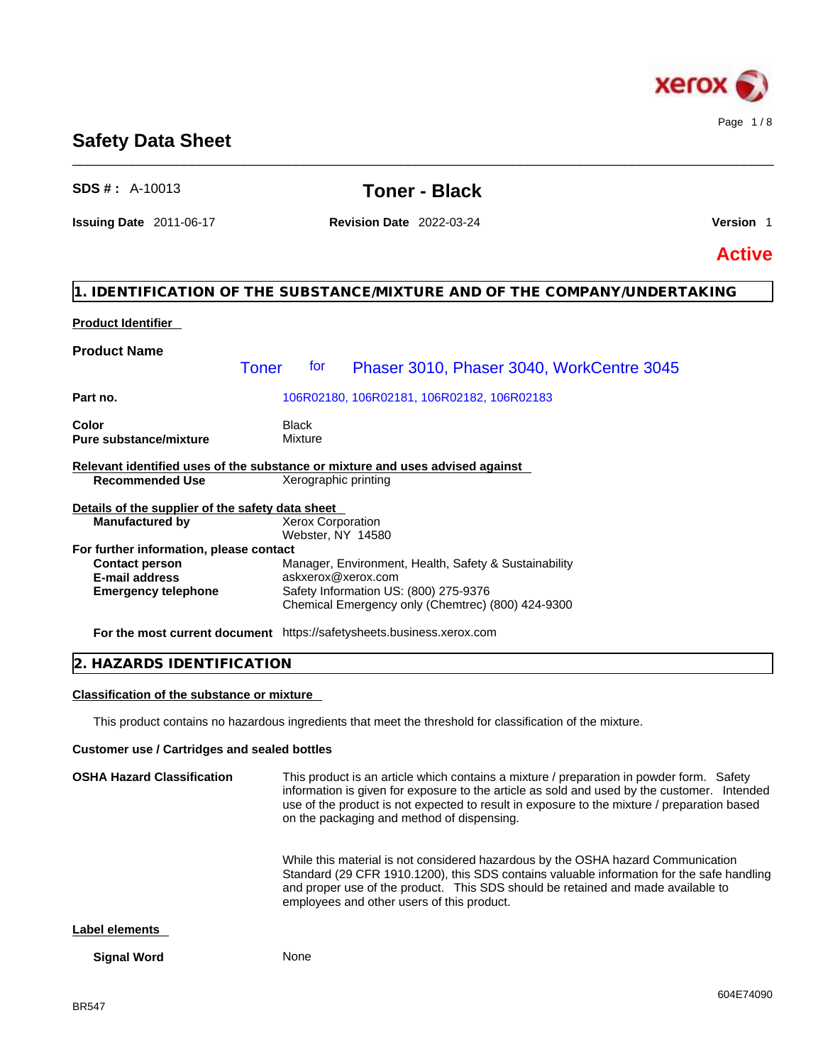

# **Safety Data Sheet**

# **SDS # :** A-10013 **Toner - Black**

\_\_\_\_\_\_\_\_\_\_\_\_\_\_\_\_\_\_\_\_\_\_\_\_\_\_\_\_\_\_\_\_\_\_\_\_\_\_\_\_\_\_\_\_\_\_\_\_\_\_\_\_\_\_\_\_\_\_\_\_\_\_\_\_\_\_\_\_\_\_\_\_\_\_\_\_\_\_\_\_\_\_\_\_\_\_\_\_\_\_\_\_\_\_

**Issuing Date** 2011-06-17 **Revision Date** 2022-03-24 **Version** 1

**Active**

# **1. IDENTIFICATION OF THE SUBSTANCE/MIXTURE AND OF THE COMPANY/UNDERTAKING**

### **Product Identifier**

| <b>Product Name</b>                              |              |                         |                                                                                            |
|--------------------------------------------------|--------------|-------------------------|--------------------------------------------------------------------------------------------|
|                                                  | <b>Toner</b> | tor                     | Phaser 3010, Phaser 3040, WorkCentre 3045                                                  |
| Part no.                                         |              |                         | 106R02180, 106R02181, 106R02182, 106R02183                                                 |
| Color<br><b>Pure substance/mixture</b>           |              | <b>Black</b><br>Mixture |                                                                                            |
|                                                  |              |                         | Relevant identified uses of the substance or mixture and uses advised against              |
| <b>Recommended Use</b>                           |              |                         | Xerographic printing                                                                       |
| Details of the supplier of the safety data sheet |              |                         |                                                                                            |
| <b>Manufactured by</b>                           |              |                         | Xerox Corporation<br>Webster, NY 14580                                                     |
| For further information, please contact          |              |                         |                                                                                            |
| <b>Contact person</b>                            |              |                         | Manager, Environment, Health, Safety & Sustainability                                      |
| <b>E-mail address</b>                            |              |                         | askxerox@xerox.com                                                                         |
| <b>Emergency telephone</b>                       |              |                         | Safety Information US: (800) 275-9376<br>Chemical Emergency only (Chemtrec) (800) 424-9300 |

**For the most current document** https://safetysheets.business.xerox.com

# **2. HAZARDS IDENTIFICATION**

### **Classification of the substance or mixture**

This product contains no hazardous ingredients that meet the threshold for classification of the mixture.

### **Customer use / Cartridges and sealed bottles**

**OSHA Hazard Classification** This product is an article which contains a mixture / preparation in powder form. Safety information is given for exposure to the article as sold and used by the customer. Intended use of the product is not expected to result in exposure to the mixture / preparation based on the packaging and method of dispensing. While this material is not considered hazardous by the OSHA hazard Communication Standard (29 CFR 1910.1200), this SDS contains valuable information for the safe handling and proper use of the product. This SDS should be retained and made available to employees and other users of this product. **Label elements** 

#### **Signal Word** None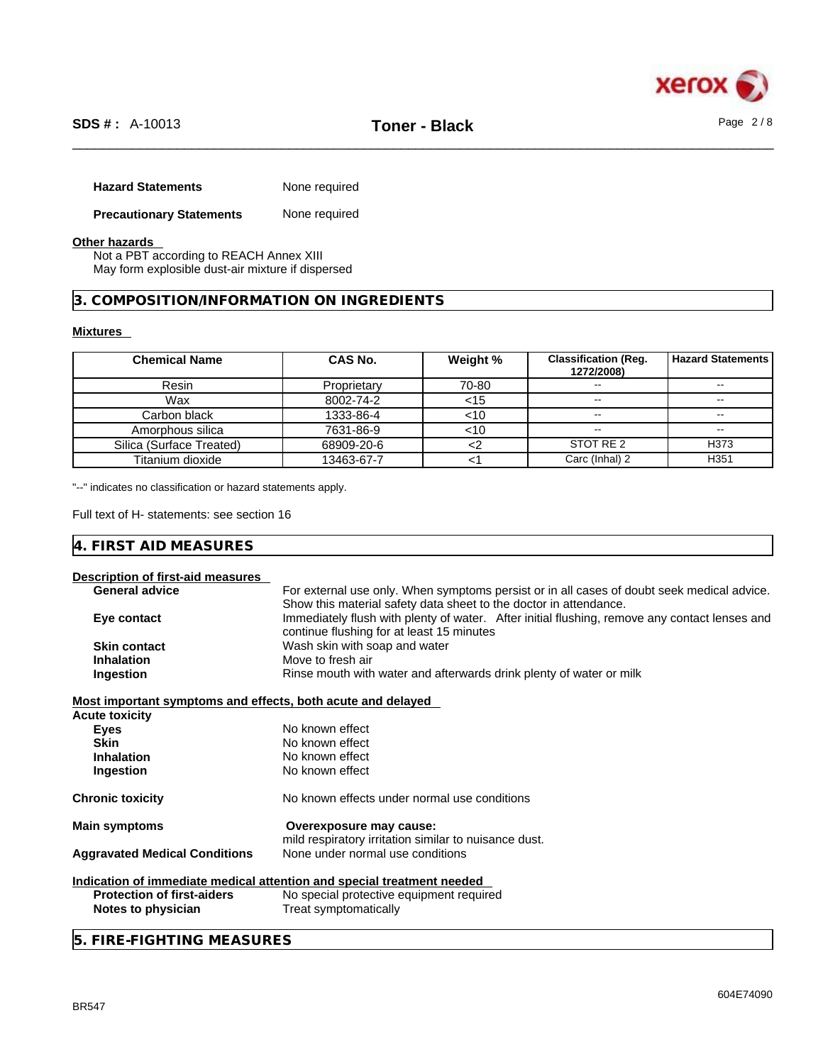

| <b>Hazard Statements</b>        | None required |
|---------------------------------|---------------|
| <b>Precautionary Statements</b> | None required |

# **Other hazards**

Not a PBT according to REACH Annex XIII May form explosible dust-air mixture if dispersed

**3. COMPOSITION/INFORMATION ON INGREDIENTS** 

# **Mixtures**

| <b>Chemical Name</b>     | CAS No.     | Weight % | <b>Classification (Req.</b><br>1272/2008) | <b>Hazard Statements</b> |
|--------------------------|-------------|----------|-------------------------------------------|--------------------------|
| Resin                    | Proprietary | 70-80    |                                           |                          |
| Wax                      | 8002-74-2   | $<$ 15   |                                           | --                       |
| Carbon black             | 1333-86-4   | $<$ 10   | $- -$                                     | $\overline{\phantom{m}}$ |
| Amorphous silica         | 7631-86-9   | <10      | $\overline{\phantom{m}}$                  | --                       |
| Silica (Surface Treated) | 68909-20-6  |          | STOT RE 2                                 | H373                     |
| Titanium dioxide         | 13463-67-7  |          | Carc (Inhal) 2                            | H351                     |

"--" indicates no classification or hazard statements apply.

Full text of H- statements: see section 16

# **4. FIRST AID MEASURES**

| Description of first-aid measures                           |                                                                                               |
|-------------------------------------------------------------|-----------------------------------------------------------------------------------------------|
| <b>General advice</b>                                       | For external use only. When symptoms persist or in all cases of doubt seek medical advice.    |
|                                                             | Show this material safety data sheet to the doctor in attendance.                             |
| Eye contact                                                 | Immediately flush with plenty of water. After initial flushing, remove any contact lenses and |
|                                                             | continue flushing for at least 15 minutes                                                     |
| <b>Skin contact</b>                                         | Wash skin with soap and water                                                                 |
| <b>Inhalation</b>                                           | Move to fresh air                                                                             |
| Ingestion                                                   | Rinse mouth with water and afterwards drink plenty of water or milk                           |
| Most important symptoms and effects, both acute and delayed |                                                                                               |
| <b>Acute toxicity</b>                                       |                                                                                               |
| <b>Eyes</b>                                                 | No known effect                                                                               |
| <b>Skin</b>                                                 | No known effect                                                                               |
|                                                             |                                                                                               |
| <b>Inhalation</b>                                           | No known effect                                                                               |
| Ingestion                                                   | No known effect                                                                               |
| <b>Chronic toxicity</b>                                     | No known effects under normal use conditions                                                  |
| <b>Main symptoms</b>                                        | Overexposure may cause:                                                                       |
|                                                             | mild respiratory irritation similar to nuisance dust.                                         |
| <b>Aggravated Medical Conditions</b>                        | None under normal use conditions                                                              |
|                                                             | Indication of immediate medical attention and special treatment needed                        |
| <b>Protection of first-aiders</b>                           | No special protective equipment required                                                      |
| Notes to physician                                          | Treat symptomatically                                                                         |
|                                                             |                                                                                               |

**5. FIRE-FIGHTING MEASURES**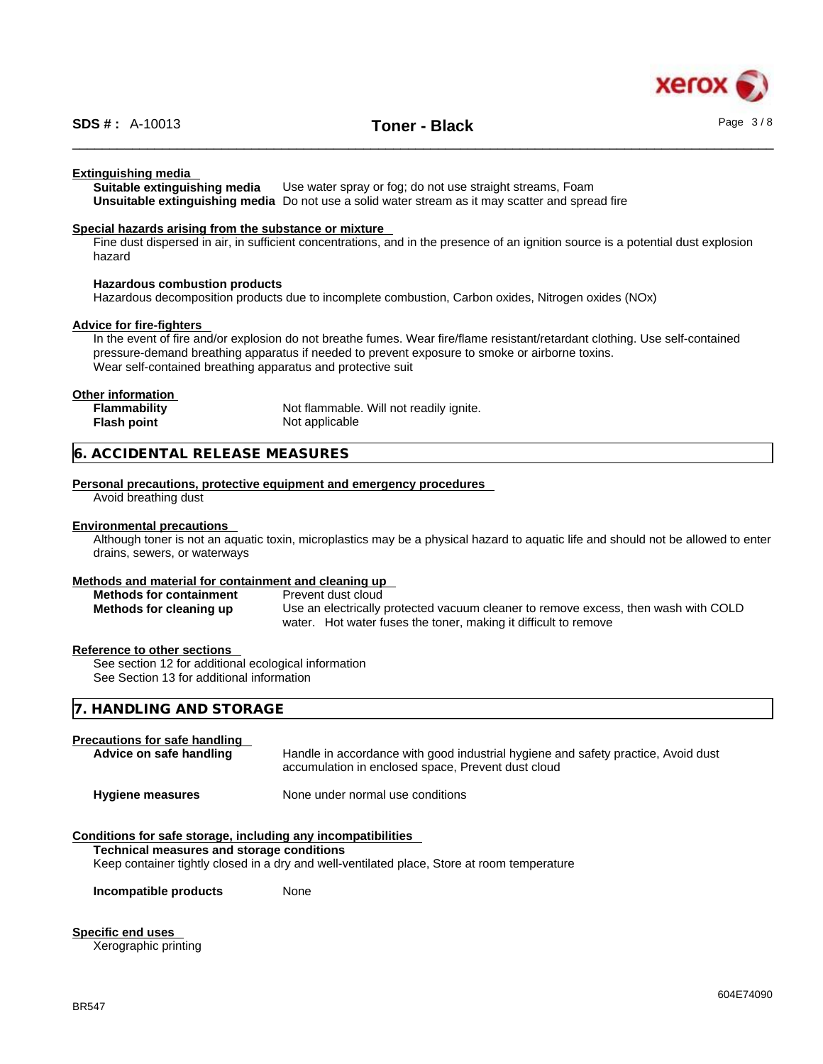

#### **Extinguishing media**

**Suitable extinguishing media** Use water spray or fog; do not use straight streams, Foam **Unsuitable extinguishing media** Do not use a solid water stream as it may scatterand spread fire

#### **Special hazards arising from the substance or mixture**

Fine dust dispersed in air, in sufficient concentrations, and in the presence of an ignition source is a potential dust explosion hazard

#### **Hazardous combustion products**

Hazardous decomposition products due to incomplete combustion, Carbon oxides, Nitrogen oxides (NOx)

#### **Advice for fire-fighters**

In the event of fire and/or explosion do not breathe fumes. Wear fire/flame resistant/retardant clothing. Use self-contained pressure-demand breathing apparatus if needed to prevent exposure to smoke or airborne toxins. Wear self-contained breathing apparatus and protective suit

#### **Other information**

| Flammability       | Not flammable. Will not readily ignite. |
|--------------------|-----------------------------------------|
| <b>Flash point</b> | Not applicable                          |

# **6. ACCIDENTAL RELEASE MEASURES**

#### **Personal precautions, protective equipment and emergency procedures**

Avoid breathing dust

# **Environmental precautions**

Although toner is not an aquatic toxin, microplastics may be a physical hazard to aquatic life and should not be allowed to enter drains, sewers, or waterways

#### **Methods and material for containment and cleaning up**

| <b>Methods for containment</b> | Prevent dust cloud                                                                 |
|--------------------------------|------------------------------------------------------------------------------------|
| Methods for cleaning up        | Use an electrically protected vacuum cleaner to remove excess, then wash with COLD |
|                                | water. Hot water fuses the toner, making it difficult to remove                    |

#### **Reference to other sections**

See section 12 for additional ecological information See Section 13 for additional information

# **7. HANDLING AND STORAGE**

| <b>Precautions for safe handling</b> | Handle in accordance with good industrial hygiene and safety practice, Avoid dust |
|--------------------------------------|-----------------------------------------------------------------------------------|
| Advice on safe handling              | accumulation in enclosed space, Prevent dust cloud                                |
| <b>Hygiene measures</b>              | None under normal use conditions                                                  |

#### **Conditions for safe storage, including any incompatibilities**

**Technical measures and storage conditions**

Keep container tightly closed in a dry and well-ventilated place, Store at room temperature

**Incompatible products** None

#### **Specific end uses**

Xerographic printing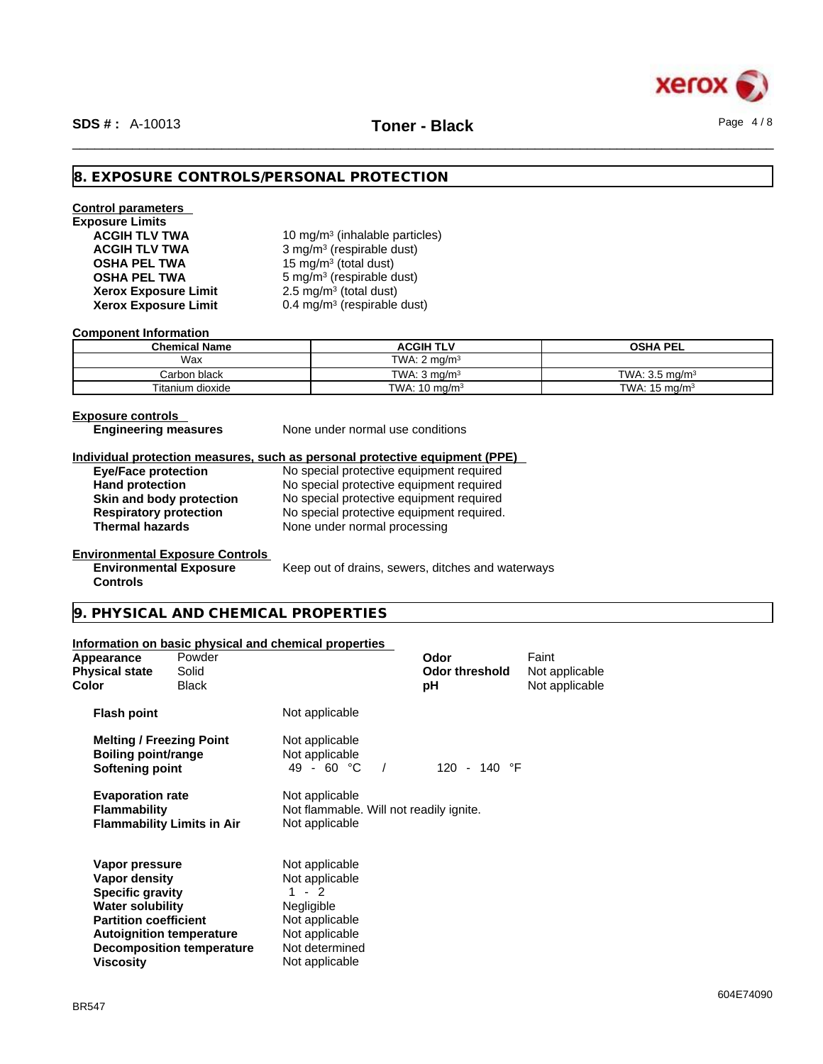

# **8. EXPOSURE CONTROLS/PERSONAL PROTECTION**

# **Control parameters Exposure Limits**

**Xerox Exposure Limit** 

**ACGIH TLV TWA** 10 mg/m<sup>3</sup> (inhalable particles) **ACGIH TLV TWA** 3 mg/m<sup>3</sup> (respirable dust) **OSHA PEL TWA** 15 mg/m<sup>3</sup> (total dust) **OSHA PEL TWA** 5 mg/m<sup>3</sup> (respirable dust)  $2.5 \text{ mg/m}^3$  (total dust) **Xerox Exposure Limit** 0.4 mg/m<sup>3</sup> (respirable dust)

#### **Component Information**

| <b>Chemical Name</b> | ACGIH TLV                | <b>OSHA PEL</b>           |
|----------------------|--------------------------|---------------------------|
| Wax                  | TWA: $2 \text{ ma/m}^3$  |                           |
| Carbon black         | TWA: $3 \text{ ma/m}^3$  | TWA: $3.5 \text{ ma/m}^3$ |
| Titanium dioxide     | TWA: $10 \text{ ma/m}^3$ | TWA: $15 \text{ ma/m}^3$  |

#### **Exposure controls**

**Controls** 

**Engineering measures** None under normal use conditions

# **Individual protection measures, such as personal protective equipment (PPE)**

**Eye/Face protection** No special protective equipment required Hand protection **No special protective equipment required Skin and body protection** No special protective equipment required **Respiratory protection** No special protective equipment required. **Respiratory protection** No special protective equipment required.<br> **Thermal hazards** None under normal processing **None under normal processing** 

### **Environmental Exposure Controls**

**Environmental Exposure** Keep out of drains, sewers, ditches and waterways

# **9. PHYSICAL AND CHEMICAL PROPERTIES**

# **Information on basic physical and chemical properties**

| Appearance<br><b>Physical state</b><br>Color                                                                                                                          | Powder<br>Solid<br><b>Black</b>  |                                                                                                                                   | Odor<br><b>Odor threshold</b><br>рH | Faint<br>Not applicable<br>Not applicable |
|-----------------------------------------------------------------------------------------------------------------------------------------------------------------------|----------------------------------|-----------------------------------------------------------------------------------------------------------------------------------|-------------------------------------|-------------------------------------------|
| <b>Flash point</b>                                                                                                                                                    |                                  | Not applicable                                                                                                                    |                                     |                                           |
| <b>Melting / Freezing Point</b><br>Boiling point/range<br><b>Softening point</b>                                                                                      |                                  | Not applicable<br>Not applicable<br>49 - 60 $^{\circ}$ C                                                                          | 120 - 140 °F                        |                                           |
| <b>Evaporation rate</b><br><b>Flammability</b><br><b>Flammability Limits in Air</b>                                                                                   |                                  | Not applicable<br>Not flammable. Will not readily ignite.<br>Not applicable                                                       |                                     |                                           |
| Vapor pressure<br>Vapor density<br><b>Specific gravity</b><br><b>Water solubility</b><br><b>Partition coefficient</b><br><b>Autoignition temperature</b><br>Viscosity | <b>Decomposition temperature</b> | Not applicable<br>Not applicable<br>$1 - 2$<br>Negligible<br>Not applicable<br>Not applicable<br>Not determined<br>Not applicable |                                     |                                           |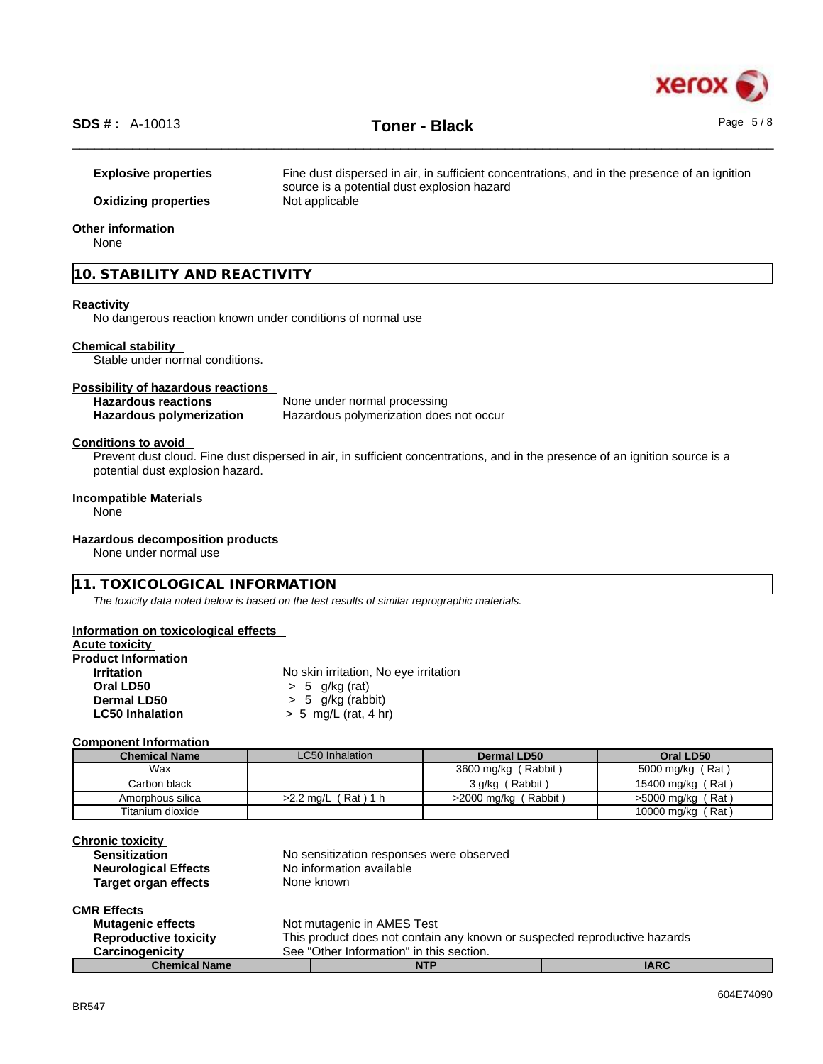

**Explosive properties** Fine dust dispersed in air, in sufficient concentrations, and in the presence of an ignition source is a potential dust explosion hazard **Oxidizing properties** Not applicable

### **Other information**

None

# **10. STABILITY AND REACTIVITY**

#### **Reactivity**

No dangerous reaction known under conditions of normal use

#### **Chemical stability**

Stable under normal conditions.

# **Possibility of hazardous reactions**

**Hazardous reactions**<br> **Hazardous polymerization**<br>
Hazardous polymerization<br>
Hazardous polymerization **Hazardous polymerization does not occur** 

#### **Conditions to avoid**

Prevent dust cloud. Fine dust dispersed in air, in sufficient concentrations, and in the presence of an ignition source is a potential dust explosion hazard.

#### **Incompatible Materials**

None

#### **Hazardous decomposition products**

None under normal use

#### **11. TOXICOLOGICAL INFORMATION**

*The toxicity data noted below is based on the test results of similar reprographic materials.* 

#### **Information on toxicological effects**

|  |  | <b>Acute toxicity</b> |  |
|--|--|-----------------------|--|
|--|--|-----------------------|--|

| <b>Product Information</b> |                                       |
|----------------------------|---------------------------------------|
| <b>Irritation</b>          | No skin irritation, No eye irritation |
| Oral LD50                  | $> 5$ g/kg (rat)                      |
| Dermal LD50                | $> 5$ g/kg (rabbit)                   |
| <b>LC50 Inhalation</b>     | $> 5$ mg/L (rat, 4 hr)                |
|                            |                                       |

#### **Component Information**

| <b>Chemical Name</b> | LC50 Inhalation        | Dermal LD50             | Oral LD50           |
|----------------------|------------------------|-------------------------|---------------------|
| Wax                  |                        | 3600 mg/kg (Rabbit)     | 5000 mg/kg (Rat)    |
| Carbon black         |                        | 3 g/kg (Rabbit)         | 15400 mg/kg (Rat)   |
| Amorphous silica     | (Rat) 1 h<br>>2.2 ma/L | (Rabbit)<br>>2000 mg/kg | $>5000$ mg/kg (Rat) |
| Titanium dioxide     |                        |                         | 10000 mg/kg (Rat)   |

| <b>Chronic toxicity</b><br><b>Sensitization</b> | No sensitization responses were observed |
|-------------------------------------------------|------------------------------------------|
| <b>Neurological Effects</b>                     | No information available                 |
| <b>Target organ effects</b>                     | None known                               |

# **CMR Effects**

| <b>Mutagenic effects</b>     |                                                                           | Not mutagenic in AMES Test |             |
|------------------------------|---------------------------------------------------------------------------|----------------------------|-------------|
| <b>Reproductive toxicity</b> | This product does not contain any known or suspected reproductive hazards |                            |             |
| <b>Carcinogenicity</b>       | See "Other Information" in this section.                                  |                            |             |
| <b>Chemical Name</b>         |                                                                           | <b>NTP</b>                 | <b>IARC</b> |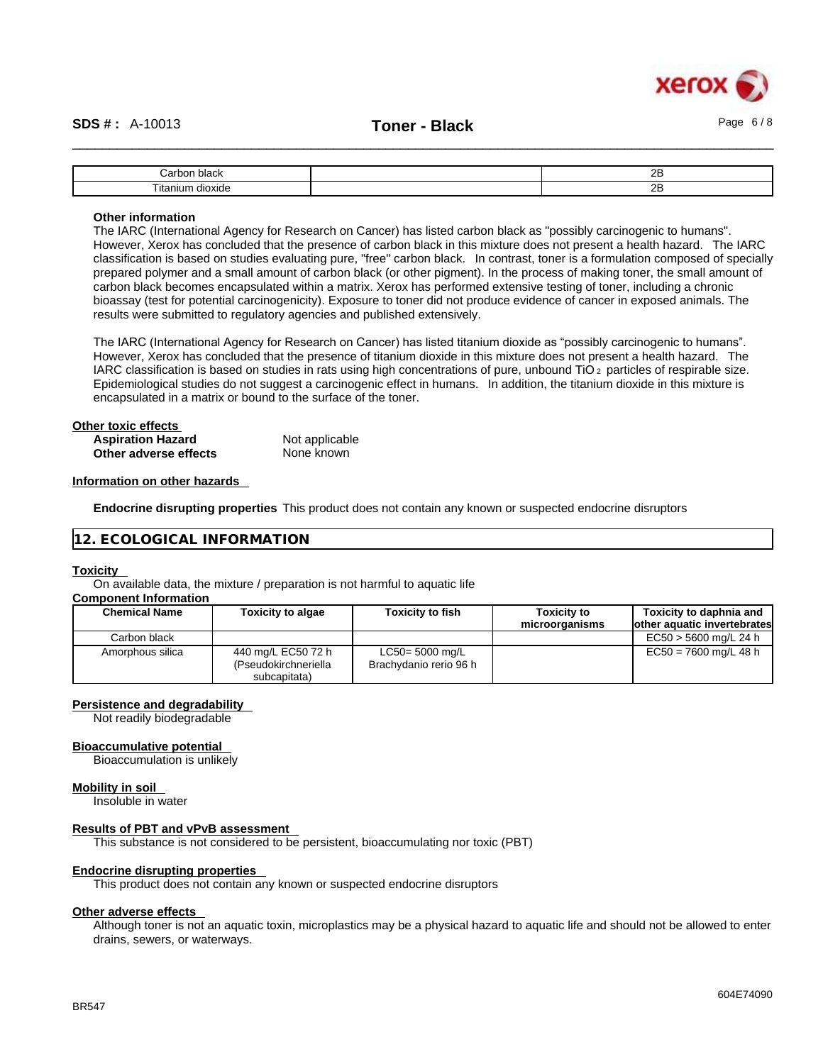

| ، احم<br>$\sim$<br>חשנ<br>.      | or.<br>-- |
|----------------------------------|-----------|
| $- -$<br>ור:<br>ուս<br>uut<br>πа | יה<br>--  |

#### **Other information**

The IARC (International Agency for Research on Cancer) has listed carbon black as "possibly carcinogenic to humans". However, Xerox has concluded that the presence of carbon black in this mixture does not present a health hazard. The IARC classification is based on studies evaluating pure, "free" carbon black. In contrast, toner is a formulation composed of specially prepared polymer and a small amount of carbon black (or other pigment). In the process of making toner, the small amount of carbon black becomes encapsulated within a matrix. Xerox has performed extensive testing of toner, including a chronic bioassay (test for potential carcinogenicity). Exposure to toner did not produce evidence of cancer in exposed animals. The results were submitted to regulatory agencies and published extensively.

The IARC (International Agency for Research on Cancer) has listed titanium dioxide as "possibly carcinogenic to humans". However, Xerox has concluded that the presence of titanium dioxide in this mixture does not present a health hazard. The IARC classification is based on studies in rats using high concentrations of pure, unbound TiO 2 particles of respirable size. Epidemiological studies do not suggest a carcinogenic effect in humans. In addition, the titanium dioxide in this mixture is encapsulated in a matrix or bound to the surface of the toner.

| Other toxic effects      |                |  |
|--------------------------|----------------|--|
| <b>Aspiration Hazard</b> | Not applicable |  |
| Other adverse effects    | None known     |  |

#### **Information on other hazards**

**Endocrine disrupting properties** This product does not contain any known or suspected endocrine disruptors

#### **12. ECOLOGICAL INFORMATION**

#### **Toxicity**

On available data, the mixture / preparation is not harmful to aquatic life

# **Component Information**

| <b>Chemical Name</b> | <b>Toxicity to algae</b>                                   | <b>Toxicity to fish</b>                      | <b>Toxicity to</b><br>microorganisms | Toxicity to daphnia and<br>other aquatic invertebrates |
|----------------------|------------------------------------------------------------|----------------------------------------------|--------------------------------------|--------------------------------------------------------|
| Carbon black         |                                                            |                                              |                                      | $EC50 > 5600$ mg/L 24 h                                |
| Amorphous silica     | 440 mg/L EC50 72 h<br>(Pseudokirchneriella<br>subcapitata) | $LC50 = 5000$ mg/L<br>Brachydanio rerio 96 h |                                      | $EC50 = 7600$ mg/L 48 h                                |

#### **Persistence and degradability**

Not readily biodegradable

#### **Bioaccumulative potential**

Bioaccumulation is unlikely

#### **Mobility in soil**

Insoluble in water

#### **Results of PBT and vPvB assessment**

This substance is not considered to be persistent, bioaccumulating nor toxic (PBT)

#### **Endocrine disrupting properties**

This product does not contain any known or suspected endocrine disruptors

#### **Other adverse effects**

Although toner is not an aquatic toxin, microplastics may be a physical hazard to aquatic life and should not be allowed to enter drains, sewers, or waterways.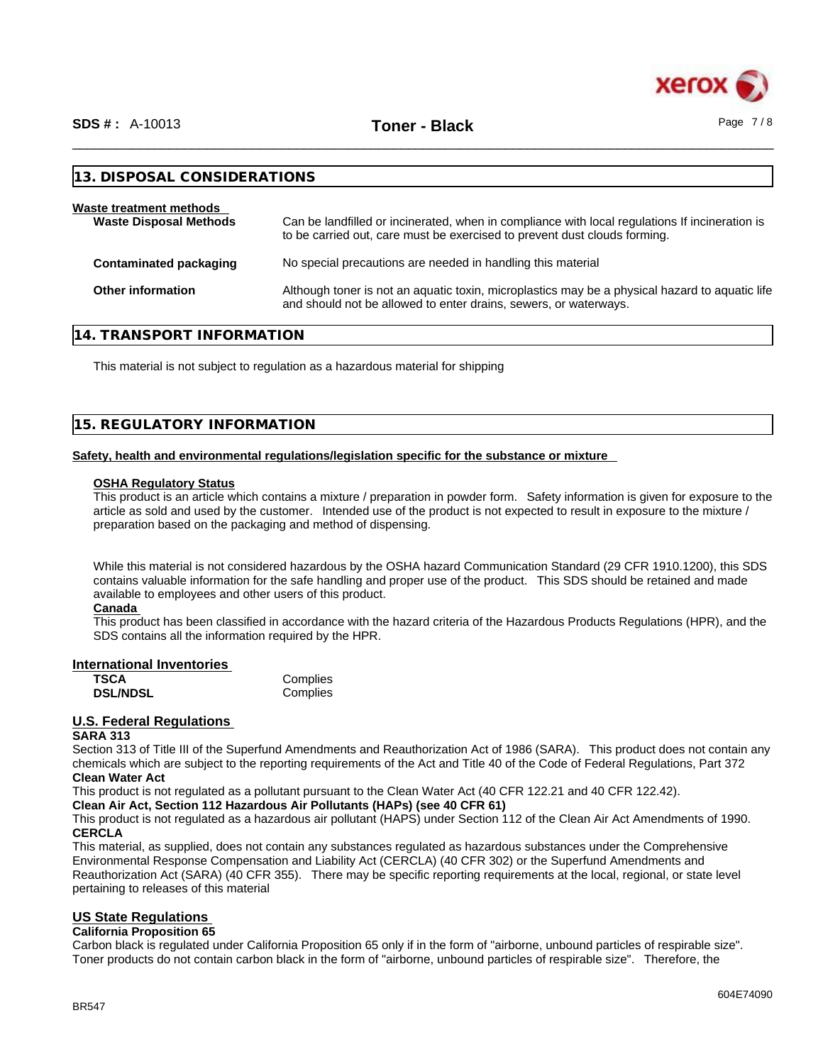

\_\_\_\_\_\_\_\_\_\_\_\_\_\_\_\_\_\_\_\_\_\_\_\_\_\_\_\_\_\_\_\_\_\_\_\_\_\_\_\_\_\_\_\_\_\_\_\_\_\_\_\_\_\_\_\_\_\_\_\_\_\_\_\_\_\_\_\_\_\_\_\_\_\_\_\_\_\_\_\_\_\_\_\_\_\_\_\_\_\_\_\_\_\_ **SDS # :** A-10013 **Toner - Black** Page 7 / 8

| 13. DISPOSAL CONSIDERATIONS                              |                                                                                                                                                                             |
|----------------------------------------------------------|-----------------------------------------------------------------------------------------------------------------------------------------------------------------------------|
| Waste treatment methods<br><b>Waste Disposal Methods</b> | Can be landfilled or incinerated, when in compliance with local regulations If incineration is<br>to be carried out, care must be exercised to prevent dust clouds forming. |
| <b>Contaminated packaging</b>                            | No special precautions are needed in handling this material                                                                                                                 |
| Other information                                        | Although toner is not an aquatic toxin, microplastics may be a physical hazard to aquatic life<br>and should not be allowed to enter drains, sewers, or waterways.          |

## **14. TRANSPORT INFORMATION**

This material is not subject to regulation as a hazardous material for shipping

# **15. REGULATORY INFORMATION**

#### **Safety, health and environmental regulations/legislation specific for the substance or mixture**

#### **OSHA Regulatory Status**

This product is an article which contains a mixture / preparation in powder form. Safety information is given for exposure to the article as sold and used by the customer. Intended use of the product is not expected to result in exposure to the mixture / preparation based on the packaging and method of dispensing.

While this material is not considered hazardous by the OSHA hazard Communication Standard (29 CFR 1910.1200), this SDS contains valuable information for the safe handling and proper use of the product. This SDS should be retained and made available to employees and other users of this product.

#### **Canada**

This product has been classified in accordance with the hazard criteria of the Hazardous Products Regulations (HPR), and the SDS contains all the information required by the HPR.

#### **International Inventories**

| <b>TSCA</b>     | Complies |
|-----------------|----------|
| <b>DSL/NDSL</b> | Complies |

# **U.S. Federal Regulations**

#### **SARA 313**

Section 313 of Title III of the Superfund Amendments and Reauthorization Act of 1986 (SARA). This product does not contain any chemicals which are subject to the reporting requirements of the Act and Title 40 of the Code of Federal Regulations, Part 372 **Clean Water Act**

This product is not regulated as a pollutant pursuant to the Clean Water Act (40 CFR 122.21 and 40 CFR 122.42).

**Clean Air Act,Section 112 Hazardous Air Pollutants (HAPs) (see 40 CFR 61)**

This product is not regulated as a hazardous air pollutant (HAPS) under Section 112 of the Clean Air Act Amendments of 1990. **CERCLA**

This material, as supplied, does not contain any substances regulated as hazardous substances under the Comprehensive Environmental Response Compensation and Liability Act (CERCLA) (40 CFR 302) or the Superfund Amendments and Reauthorization Act (SARA) (40 CFR 355). There may be specific reporting requirements at the local, regional, or state level pertaining to releases of this material

### **US State Regulations**

#### **California Proposition 65**

Carbon black is regulated under California Proposition 65 only if in the form of "airborne, unbound particles of respirable size". Toner products do not contain carbon black in the form of "airborne, unbound particles of respirable size". Therefore, the